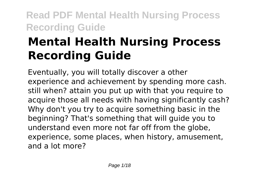# **Mental Health Nursing Process Recording Guide**

Eventually, you will totally discover a other experience and achievement by spending more cash. still when? attain you put up with that you require to acquire those all needs with having significantly cash? Why don't you try to acquire something basic in the beginning? That's something that will guide you to understand even more not far off from the globe, experience, some places, when history, amusement, and a lot more?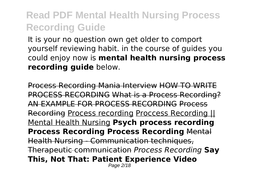It is your no question own get older to comport yourself reviewing habit. in the course of guides you could enjoy now is **mental health nursing process recording guide** below.

Process Recording Mania Interview HOW TO WRITE PROCESS RECORDING What is a Process Recording? AN EXAMPLE FOR PROCESS RECORDING Process Recording Process recording Proccess Recording || Mental Health Nursing **Psych process recording Process Recording Process Recording** Mental Health Nursing - Communication techniques, Therapeutic communication *Process Recording* **Say This, Not That: Patient Experience Video** Page 2/18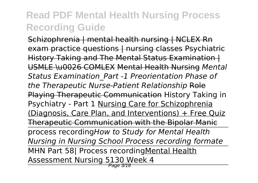Schizophrenia | mental health nursing | NCLEX Rn exam practice questions | nursing classes Psychiatric History Taking and The Mental Status Examination | USMLE \u0026 COMLEX Mental Health Nursing *Mental Status Examination\_Part -1 Preorientation Phase of the Therapeutic Nurse-Patient Relationship* Role Playing Therapeutic Communication History Taking in Psychiatry - Part 1 Nursing Care for Schizophrenia (Diagnosis, Care Plan, and Interventions) + Free Quiz Therapeutic Communication with the Bipolar Manic process recording*How to Study for Mental Health Nursing in Nursing School Process recording formate* MHN Part 58| Process recordingMental Health Assessment Nursing 5130 Week 4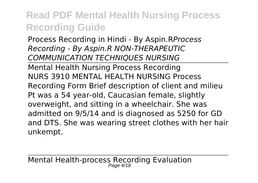Process Recording in Hindi - By Aspin.R*Process Recording - By Aspin.R NON-THERAPEUTIC COMMUNICATION TECHNIQUES NURSING*

Mental Health Nursing Process Recording NURS 3910 MENTAL HEALTH NURSING Process Recording Form Brief description of client and milieu Pt was a 54 year-old, Caucasian female, slightly overweight, and sitting in a wheelchair. She was admitted on 9/5/14 and is diagnosed as 5250 for GD and DTS. She was wearing street clothes with her hair unkempt.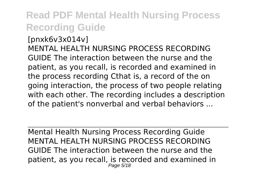[pnxk6v3x014v] MENTAL HEALTH NURSING PROCESS RECORDING GUIDE The interaction between the nurse and the patient, as you recall, is recorded and examined in the process recording Cthat is, a record of the on going interaction, the process of two people relating with each other. The recording includes a description of the patient's nonverbal and verbal behaviors ...

Mental Health Nursing Process Recording Guide MENTAL HEALTH NURSING PROCESS RECORDING GUIDE The interaction between the nurse and the patient, as you recall, is recorded and examined in Page 5/18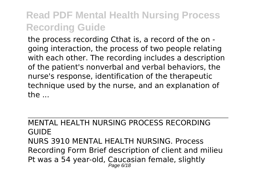the process recording Cthat is, a record of the on going interaction, the process of two people relating with each other. The recording includes a description of the patient's nonverbal and verbal behaviors, the nurse's response, identification of the therapeutic technique used by the nurse, and an explanation of  $the...$ 

MENTAL HEALTH NURSING PROCESS RECORDING **GUIDE** NURS 3910 MENTAL HEALTH NURSING. Process Recording Form Brief description of client and milieu Pt was a 54 year-old, Caucasian female, slightly Page 6/18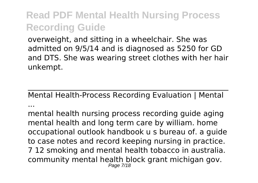overweight, and sitting in a wheelchair. She was admitted on 9/5/14 and is diagnosed as 5250 for GD and DTS. She was wearing street clothes with her hair unkempt.

Mental Health-Process Recording Evaluation | Mental ...

mental health nursing process recording guide aging mental health and long term care by william. home occupational outlook handbook u s bureau of. a guide to case notes and record keeping nursing in practice. 7 12 smoking and mental health tobacco in australia. community mental health block grant michigan gov. Page 7/18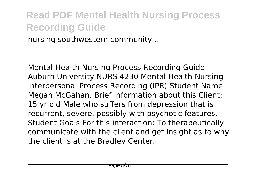nursing southwestern community ...

Mental Health Nursing Process Recording Guide Auburn University NURS 4230 Mental Health Nursing Interpersonal Process Recording (IPR) Student Name: Megan McGahan. Brief Information about this Client: 15 yr old Male who suffers from depression that is recurrent, severe, possibly with psychotic features. Student Goals For this interaction: To therapeutically communicate with the client and get insight as to why the client is at the Bradley Center.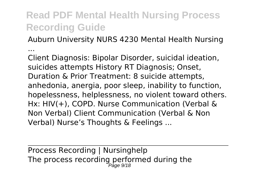Auburn University NURS 4230 Mental Health Nursing

...

Client Diagnosis: Bipolar Disorder, suicidal ideation, suicides attempts History RT Diagnosis; Onset, Duration & Prior Treatment: 8 suicide attempts, anhedonia, anergia, poor sleep, inability to function, hopelessness, helplessness, no violent toward others. Hx: HIV(+), COPD. Nurse Communication (Verbal & Non Verbal) Client Communication (Verbal & Non Verbal) Nurse's Thoughts & Feelings ...

Process Recording | Nursinghelp The process recording performed during the  $\rho_{\textit{age 9/18}}$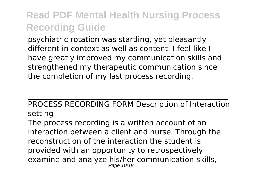psychiatric rotation was startling, yet pleasantly different in context as well as content. I feel like I have greatly improved my communication skills and strengthened my therapeutic communication since the completion of my last process recording.

#### PROCESS RECORDING FORM Description of Interaction setting

The process recording is a written account of an interaction between a client and nurse. Through the reconstruction of the interaction the student is provided with an opportunity to retrospectively examine and analyze his/her communication skills, Page 10/18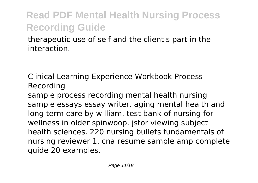therapeutic use of self and the client's part in the interaction.

Clinical Learning Experience Workbook Process Recording

sample process recording mental health nursing sample essays essay writer. aging mental health and long term care by william. test bank of nursing for wellness in older spinwoop. jstor viewing subject health sciences. 220 nursing bullets fundamentals of nursing reviewer 1. cna resume sample amp complete guide 20 examples.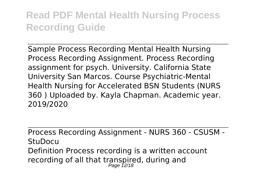Sample Process Recording Mental Health Nursing Process Recording Assignment. Process Recording assignment for psych. University. California State University San Marcos. Course Psychiatric-Mental Health Nursing for Accelerated BSN Students (NURS 360 ) Uploaded by. Kayla Chapman. Academic year. 2019/2020

Process Recording Assignment - NURS 360 - CSUSM - **StuDocu** Definition Process recording is a written account recording of all that transpired, during and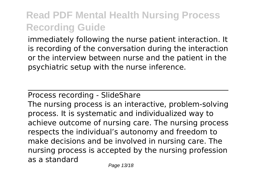immediately following the nurse patient interaction. It is recording of the conversation during the interaction or the interview between nurse and the patient in the psychiatric setup with the nurse inference.

#### Process recording - SlideShare

The nursing process is an interactive, problem-solving process. It is systematic and individualized way to achieve outcome of nursing care. The nursing process respects the individual's autonomy and freedom to make decisions and be involved in nursing care. The nursing process is accepted by the nursing profession as a standard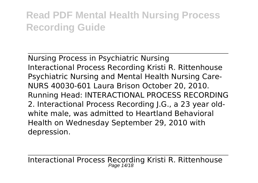Nursing Process in Psychiatric Nursing Interactional Process Recording Kristi R. Rittenhouse Psychiatric Nursing and Mental Health Nursing Care-NURS 40030-601 Laura Brison October 20, 2010. Running Head: INTERACTIONAL PROCESS RECORDING 2. Interactional Process Recording J.G., a 23 year oldwhite male, was admitted to Heartland Behavioral Health on Wednesday September 29, 2010 with depression.

Interactional Process Recording Kristi R. Rittenhouse Page 14/18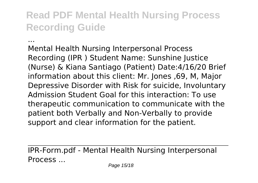...

Mental Health Nursing Interpersonal Process Recording (IPR ) Student Name: Sunshine Justice (Nurse) & Kiana Santiago (Patient) Date:4/16/20 Brief information about this client: Mr. Jones ,69, M, Major Depressive Disorder with Risk for suicide, Involuntary Admission Student Goal for this interaction: To use therapeutic communication to communicate with the patient both Verbally and Non-Verbally to provide support and clear information for the patient.

IPR-Form.pdf - Mental Health Nursing Interpersonal Process ...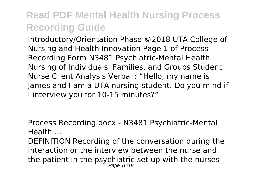Introductory/Orientation Phase ©2018 UTA College of Nursing and Health Innovation Page 1 of Process Recording Form N3481 Psychiatric-Mental Health Nursing of Individuals, Families, and Groups Student Nurse Client Analysis Verbal : "Hello, my name is James and I am a UTA nursing student. Do you mind if I interview you for 10-15 minutes?"

Process Recording.docx - N3481 Psychiatric-Mental Health ...

DEFINITION Recording of the conversation during the interaction or the interview between the nurse and the patient in the psychiatric set up with the nurses Page 16/18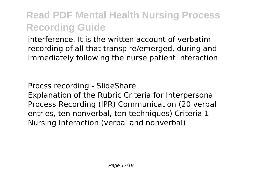interference. It is the written account of verbatim recording of all that transpire/emerged, during and immediately following the nurse patient interaction

Procss recording - SlideShare Explanation of the Rubric Criteria for Interpersonal Process Recording (IPR) Communication (20 verbal entries, ten nonverbal, ten techniques) Criteria 1 Nursing Interaction (verbal and nonverbal)